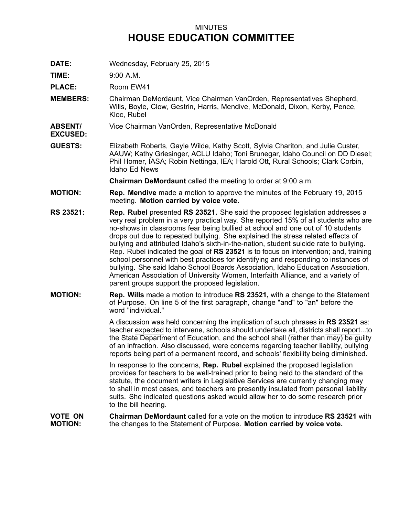## MINUTES **HOUSE EDUCATION COMMITTEE**

**DATE:** Wednesday, February 25, 2015

**TIME:** 9:00 A.M.

**PLACE:** Room EW41

- **MEMBERS:** Chairman DeMordaunt, Vice Chairman VanOrden, Representatives Shepherd, Wills, Boyle, Clow, Gestrin, Harris, Mendive, McDonald, Dixon, Kerby, Pence, Kloc, Rubel
- **ABSENT/** Vice Chairman VanOrden, Representative McDonald
- **EXCUSED:**
- **GUESTS:** Elizabeth Roberts, Gayle Wilde, Kathy Scott, Sylvia Chariton, and Julie Custer, AAUW; Kathy Griesinger, ACLU Idaho; Toni Brunegar, Idaho Council on DD Diesel; Phil Homer, IASA; Robin Nettinga, IEA; Harold Ott, Rural Schools; Clark Corbin, Idaho Ed News

**Chairman DeMordaunt** called the meeting to order at 9:00 a.m.

- **MOTION: Rep. Mendive** made <sup>a</sup> motion to approve the minutes of the February 19, 2015 meeting. **Motion carried by voice vote.**
- **RS 23521: Rep. Rubel** presented **RS 23521.** She said the proposed legislation addresses <sup>a</sup> very real problem in <sup>a</sup> very practical way. She reported 15% of all students who are no-shows in classrooms fear being bullied at school and one out of 10 students drops out due to repeated bullying. She explained the stress related effects of bullying and attributed Idaho's sixth-in-the-nation, student suicide rate to bullying. Rep. Rubel indicated the goal of **RS 23521** is to focus on intervention; and, training school personnel with best practices for identifying and responding to instances of bullying. She said Idaho School Boards Association, Idaho Education Association, American Association of University Women, Interfaith Alliance, and <sup>a</sup> variety of parent groups support the proposed legislation.
- **MOTION: Rep. Wills** made <sup>a</sup> motion to introduce **RS 23521,** with <sup>a</sup> change to the Statement of Purpose. On line 5 of the first paragraph, change "and" to "an" before the word "individual."

A discussion was held concerning the implication of such phrases in **RS 23521** as: teacher expected to intervene, schools should undertake all, districts shall report...to the State Department of Education, and the school shall (rather than may) be guilty of an infraction. Also discussed, were concerns regarding teacher liability, bullying reports being part of <sup>a</sup> permanent record, and schools' flexibility being diminished.

In response to the concerns, **Rep. Rubel** explained the proposed legislation provides for teachers to be well-trained prior to being held to the standard of the statute, the document writers in Legislative Services are currently changing may to shall in most cases, and teachers are presently insulated from personal liability suits. She indicated questions asked would allow her to do some research prior to the bill hearing.

**VOTE ON MOTION: Chairman DeMordaunt** called for a vote on the motion to introduce **RS 23521** with the changes to the Statement of Purpose. **Motion carried by voice vote.**